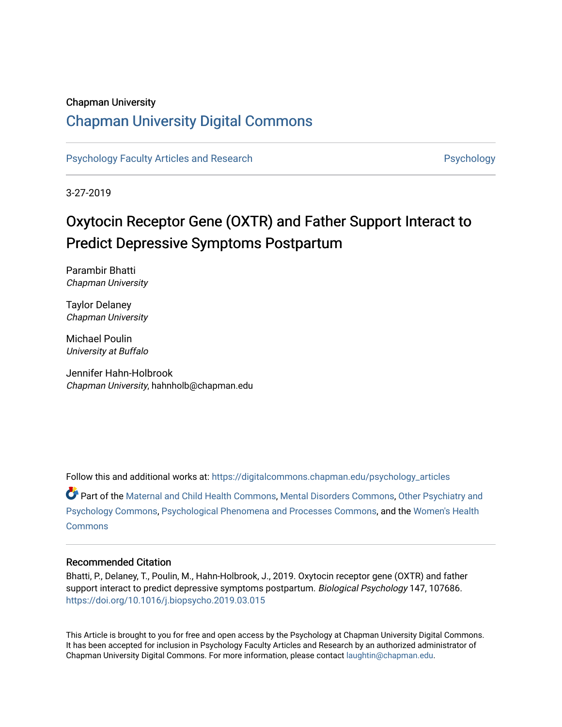#### Chapman University

## [Chapman University Digital Commons](https://digitalcommons.chapman.edu/)

#### [Psychology Faculty Articles and Research](https://digitalcommons.chapman.edu/psychology_articles) **Provident Contact Article Structure** Psychology

3-27-2019

# Oxytocin Receptor Gene (OXTR) and Father Support Interact to Predict Depressive Symptoms Postpartum

Parambir Bhatti Chapman University

Taylor Delaney Chapman University

Michael Poulin University at Buffalo

Jennifer Hahn-Holbrook Chapman University, hahnholb@chapman.edu

Follow this and additional works at: [https://digitalcommons.chapman.edu/psychology\\_articles](https://digitalcommons.chapman.edu/psychology_articles?utm_source=digitalcommons.chapman.edu%2Fpsychology_articles%2F147&utm_medium=PDF&utm_campaign=PDFCoverPages) Part of the [Maternal and Child Health Commons,](http://network.bepress.com/hgg/discipline/745?utm_source=digitalcommons.chapman.edu%2Fpsychology_articles%2F147&utm_medium=PDF&utm_campaign=PDFCoverPages) [Mental Disorders Commons,](http://network.bepress.com/hgg/discipline/968?utm_source=digitalcommons.chapman.edu%2Fpsychology_articles%2F147&utm_medium=PDF&utm_campaign=PDFCoverPages) [Other Psychiatry and](http://network.bepress.com/hgg/discipline/992?utm_source=digitalcommons.chapman.edu%2Fpsychology_articles%2F147&utm_medium=PDF&utm_campaign=PDFCoverPages) [Psychology Commons,](http://network.bepress.com/hgg/discipline/992?utm_source=digitalcommons.chapman.edu%2Fpsychology_articles%2F147&utm_medium=PDF&utm_campaign=PDFCoverPages) [Psychological Phenomena and Processes Commons](http://network.bepress.com/hgg/discipline/914?utm_source=digitalcommons.chapman.edu%2Fpsychology_articles%2F147&utm_medium=PDF&utm_campaign=PDFCoverPages), and the [Women's Health](http://network.bepress.com/hgg/discipline/1241?utm_source=digitalcommons.chapman.edu%2Fpsychology_articles%2F147&utm_medium=PDF&utm_campaign=PDFCoverPages) **[Commons](http://network.bepress.com/hgg/discipline/1241?utm_source=digitalcommons.chapman.edu%2Fpsychology_articles%2F147&utm_medium=PDF&utm_campaign=PDFCoverPages)** 

#### Recommended Citation

Bhatti, P., Delaney, T., Poulin, M., Hahn-Holbrook, J., 2019. Oxytocin receptor gene (OXTR) and father support interact to predict depressive symptoms postpartum. Biological Psychology 147, 107686. <https://doi.org/10.1016/j.biopsycho.2019.03.015>

This Article is brought to you for free and open access by the Psychology at Chapman University Digital Commons. It has been accepted for inclusion in Psychology Faculty Articles and Research by an authorized administrator of Chapman University Digital Commons. For more information, please contact [laughtin@chapman.edu](mailto:laughtin@chapman.edu).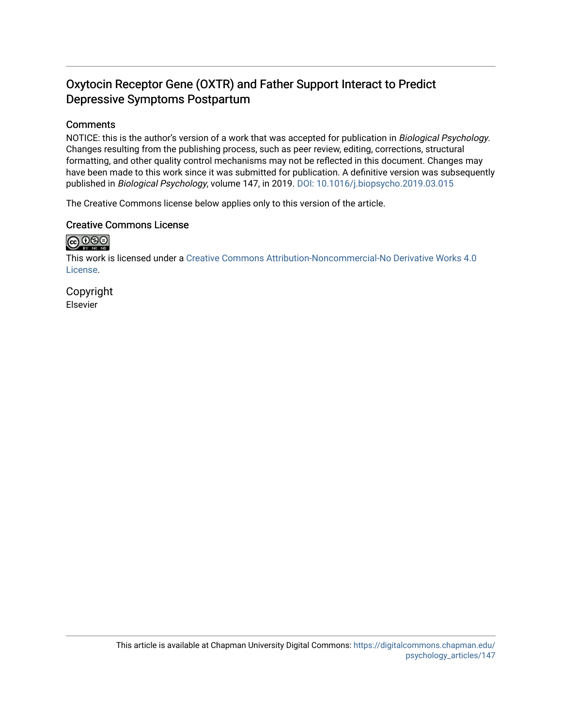## Oxytocin Receptor Gene (OXTR) and Father Support Interact to Predict Depressive Symptoms Postpartum

#### **Comments**

NOTICE: this is the author's version of a work that was accepted for publication in Biological Psychology. Changes resulting from the publishing process, such as peer review, editing, corrections, structural formatting, and other quality control mechanisms may not be reflected in this document. Changes may have been made to this work since it was submitted for publication. A definitive version was subsequently published in Biological Psychology, volume 147, in 2019. [DOI: 10.1016/j.biopsycho.2019.03.015](https://doi.org/10.1016/j.biopsycho.2019.03.015)

The Creative Commons license below applies only to this version of the article.

#### Creative Commons License



This work is licensed under a [Creative Commons Attribution-Noncommercial-No Derivative Works 4.0](https://creativecommons.org/licenses/by-nc-nd/4.0/) [License](https://creativecommons.org/licenses/by-nc-nd/4.0/).

Copyright Elsevier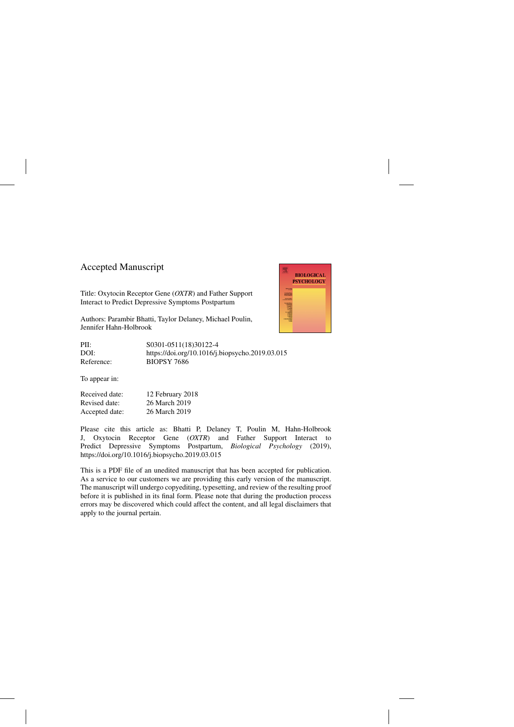## Accepted Manuscript

Title: Oxytocin Receptor Gene (*OXTR*) and Father Support Interact to Predict Depressive Symptoms Postpartum

Authors: Parambir Bhatti, Taylor Delaney, Michael Poulin, Jennifer Hahn-Holbrook



To appear in:

Received date: 12 February 2018 Revised date: 26 March 2019 Accepted date: 26 March 2019

Please cite this article as: Bhatti P, Delaney T, Poulin M, Hahn-Holbrook J, Oxytocin Receptor Gene (*OXTR*) and Father Support Interact to Predict Depressive Symptoms Postpartum, *Biological Psychology* (2019), <https://doi.org/10.1016/j.biopsycho.2019.03.015>

This is a PDF file of an unedited manuscript that has been accepted for publication. As a service to our customers we are providing this early version of the manuscript. The manuscript will undergo copyediting, typesetting, and review of the resulting proof before it is published in its final form. Please note that during the production process errors may be discovered which could affect the content, and all legal disclaimers that apply to the journal pertain.

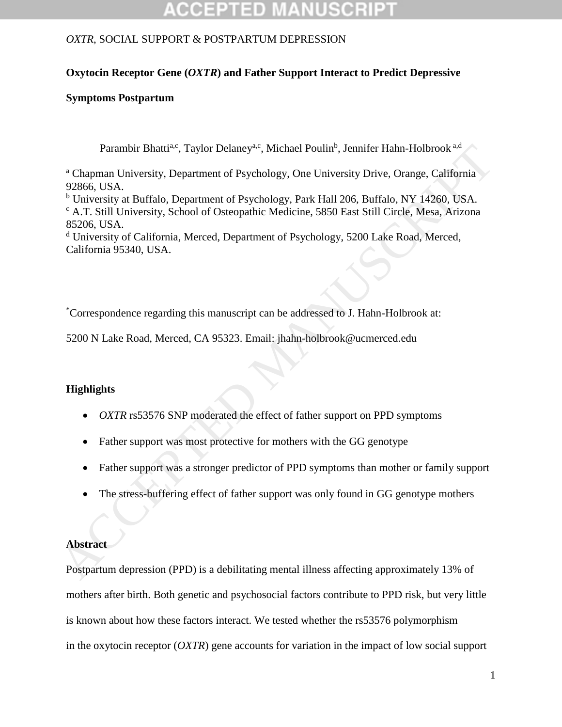## **Oxytocin Receptor Gene (***OXTR***) and Father Support Interact to Predict Depressive**

### **Symptoms Postpartum**

Parambir Bhatti<sup>a,c</sup>, Taylor Delaney<sup>a,c</sup>, Michael Poulin<sup>b</sup>, Jennifer Hahn-Holbrook<sup>a,d</sup>

<sup>a</sup> Chapman University, Department of Psychology, One University Drive, Orange, California 92866, USA.

<sup>b</sup> University at Buffalo, Department of Psychology, Park Hall 206, Buffalo, NY 14260, USA. <sup>c</sup> A.T. Still University, School of Osteopathic Medicine, 5850 East Still Circle, Mesa, Arizona 85206, USA. Parambir Bhatti<sup>24</sup>; Taylor Delaney<sup>36</sup>; Michael Poulin<sup>6</sup>, Jennifer Hahn-Holbrook<sup>n.6</sup><br>
<sup>a</sup> Chapman Iniversity, Department of Psychology, One University Drive, Orange, California<br>
<sup>9</sup> 20866, USA.<br>
<sup>h</sup> University at Buffa

<sup>d</sup> University of California, Merced, Department of Psychology, 5200 Lake Road, Merced, California 95340, USA.

\*Correspondence regarding this manuscript can be addressed to J. Hahn-Holbrook at:

5200 N Lake Road, Merced, CA 95323. Email: jhahn-holbrook@ucmerced.edu

### **Highlights**

- *OXTR* rs53576 SNP moderated the effect of father support on PPD symptoms
- Father support was most protective for mothers with the GG genotype
- Father support was a stronger predictor of PPD symptoms than mother or family support
- The stress-buffering effect of father support was only found in GG genotype mothers

### **Abstract**

Postpartum depression (PPD) is a debilitating mental illness affecting approximately 13% of mothers after birth. Both genetic and psychosocial factors contribute to PPD risk, but very little is known about how these factors interact. We tested whether the rs53576 polymorphism in the oxytocin receptor (*OXTR*) gene accounts for variation in the impact of low social support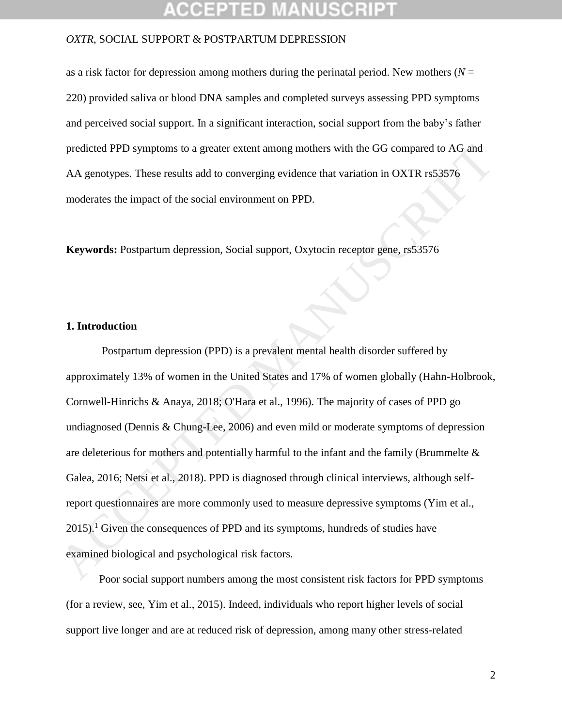as a risk factor for depression among mothers during the perinatal period. New mothers  $(N =$ 220) provided saliva or blood DNA samples and completed surveys assessing PPD symptoms and perceived social support. In a significant interaction, social support from the baby's father predicted PPD symptoms to a greater extent among mothers with the GG compared to AG and AA genotypes. These results add to converging evidence that variation in OXTR rs53576 moderates the impact of the social environment on PPD.

**Keywords:** Postpartum depression, Social support, Oxytocin receptor gene, rs53576

#### **1. Introduction**

Postpartum depression (PPD) is a prevalent mental health disorder suffered by approximately 13% of women in the United States and 17% of women globally (Hahn-Holbrook, Cornwell-Hinrichs & Anaya, 2018; O'Hara et al., 1996). The majority of cases of PPD go undiagnosed (Dennis & Chung-Lee, 2006) and even mild or moderate symptoms of depression are deleterious for mothers and potentially harmful to the infant and the family (Brummelte & Galea, 2016; Netsi et al., 2018). PPD is diagnosed through clinical interviews, although selfreport questionnaires are more commonly used to measure depressive symptoms (Yim et al.,  $2015$ .<sup>1</sup> Given the consequences of PPD and its symptoms, hundreds of studies have examined biological and psychological risk factors. predicted PPD symptoms to a greater extent among mothers with the GG compared to AG and<br>
AA genotypes. These results add to converging evidence that variation in OXTR rs52576<br>
moderates the impact of the social environment

 Poor social support numbers among the most consistent risk factors for PPD symptoms (for a review, see, Yim et al., 2015). Indeed, individuals who report higher levels of social support live longer and are at reduced risk of depression, among many other stress-related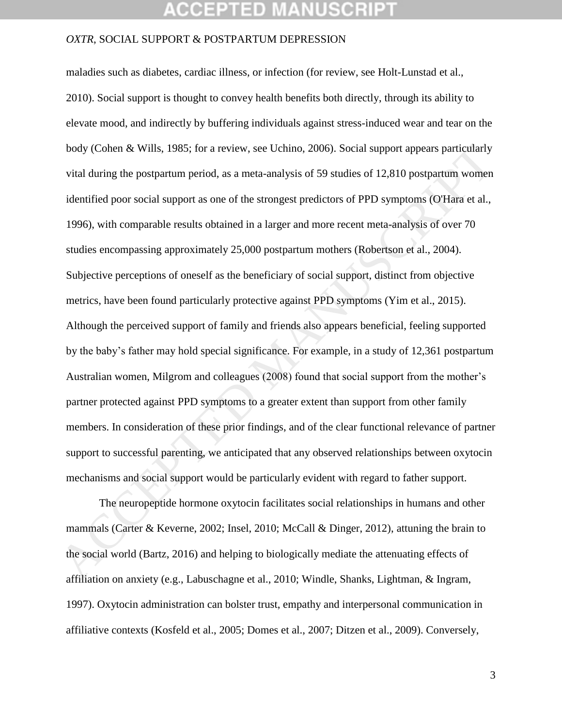## **CCEPTED MANUSCR**

#### *OXTR*, SOCIAL SUPPORT & POSTPARTUM DEPRESSION

maladies such as diabetes, cardiac illness, or infection (for review, see Holt-Lunstad et al., 2010). Social support is thought to convey health benefits both directly, through its ability to elevate mood, and indirectly by buffering individuals against stress-induced wear and tear on the body (Cohen & Wills, 1985; for a review, see Uchino, 2006). Social support appears particularly vital during the postpartum period, as a meta-analysis of 59 studies of 12,810 postpartum women identified poor social support as one of the strongest predictors of PPD symptoms (O'Hara et al., 1996), with comparable results obtained in a larger and more recent meta-analysis of over 70 studies encompassing approximately 25,000 postpartum mothers (Robertson et al., 2004). Subjective perceptions of oneself as the beneficiary of social support, distinct from objective metrics, have been found particularly protective against PPD symptoms (Yim et al., 2015). Although the perceived support of family and friends also appears beneficial, feeling supported by the baby's father may hold special significance. For example, in a study of 12,361 postpartum Australian women, Milgrom and colleagues (2008) found that social support from the mother's partner protected against PPD symptoms to a greater extent than support from other family members. In consideration of these prior findings, and of the clear functional relevance of partner support to successful parenting, we anticipated that any observed relationships between oxytocin mechanisms and social support would be particularly evident with regard to father support. body (Cohen & Wills, 1985; for a review, see Uchino, 2006). Social support appears particularly<br>vital during the postpartum period, as a meta-analysis of 59 studies of 12,810 postpartum women<br>identified poor social support

The neuropeptide hormone oxytocin facilitates social relationships in humans and other mammals (Carter & Keverne, 2002; Insel, 2010; McCall & Dinger, 2012), attuning the brain to the social world (Bartz, 2016) and helping to biologically mediate the attenuating effects of affiliation on anxiety (e.g., Labuschagne et al., 2010; Windle, Shanks, Lightman, & Ingram, 1997). Oxytocin administration can bolster trust, empathy and interpersonal communication in affiliative contexts (Kosfeld et al., 2005; Domes et al., 2007; Ditzen et al., 2009). Conversely,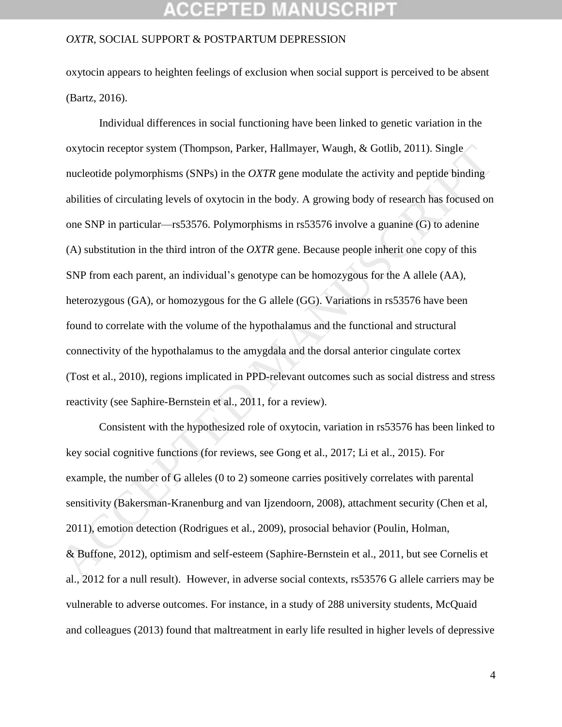## CCEPTED MANUSCR

#### *OXTR*, SOCIAL SUPPORT & POSTPARTUM DEPRESSION

oxytocin appears to heighten feelings of exclusion when social support is perceived to be absent (Bartz, 2016).

Individual differences in social functioning have been linked to genetic variation in the oxytocin receptor system (Thompson, Parker, Hallmayer, Waugh, & Gotlib, 2011). Single nucleotide polymorphisms (SNPs) in the *OXTR* gene modulate the activity and peptide binding abilities of circulating levels of oxytocin in the body. A growing body of research has focused on one SNP in particular—rs53576. Polymorphisms in rs53576 involve a guanine (G) to adenine (A) substitution in the third intron of the *OXTR* gene. Because people inherit one copy of this SNP from each parent, an individual's genotype can be homozygous for the A allele (AA), heterozygous (GA), or homozygous for the G allele (GG). Variations in rs53576 have been found to correlate with the volume of the hypothalamus and the functional and structural connectivity of the hypothalamus to the amygdala and the dorsal anterior cingulate cortex (Tost et al., 2010), regions implicated in PPD-relevant outcomes such as social distress and stress reactivity (see Saphire-Bernstein et al., 2011, for a review). oxytocin receptor system (Thompson, Parker, Hallmayer, Waugh, & Gotlib, 2011). Single<br>nucleotide polymorphisms (SNPs) in the *OXTR* gene modulate the activity and peptide binding<br>abilities of circulating levels of oxytoci

Consistent with the hypothesized role of oxytocin, variation in rs53576 has been linked to key social cognitive functions (for reviews, see Gong et al., 2017; Li et al., 2015). For example, the number of G alleles (0 to 2) someone carries positively correlates with parental sensitivity (Bakersman-Kranenburg and van Ijzendoorn, 2008), attachment security (Chen et al, 2011), emotion detection (Rodrigues et al., 2009), prosocial behavior (Poulin, Holman, & Buffone, 2012), optimism and self-esteem (Saphire-Bernstein et al., 2011, but see Cornelis et al., 2012 for a null result). However, in adverse social contexts, rs53576 G allele carriers may be vulnerable to adverse outcomes. For instance, in a study of 288 university students, McQuaid and colleagues (2013) found that maltreatment in early life resulted in higher levels of depressive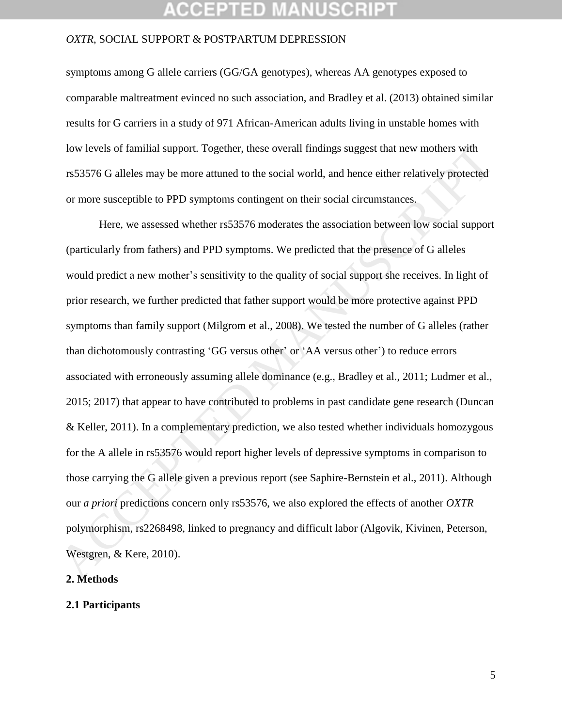#### *OXTR*, SOCIAL SUPPORT & POSTPARTUM DEPRESSION

symptoms among G allele carriers (GG/GA genotypes), whereas AA genotypes exposed to comparable maltreatment evinced no such association, and Bradley et al. (2013) obtained similar results for G carriers in a study of 971 African-American adults living in unstable homes with low levels of familial support. Together, these overall findings suggest that new mothers with rs53576 G alleles may be more attuned to the social world, and hence either relatively protected or more susceptible to PPD symptoms contingent on their social circumstances.

Here, we assessed whether rs53576 moderates the association between low social support (particularly from fathers) and PPD symptoms. We predicted that the presence of G alleles would predict a new mother's sensitivity to the quality of social support she receives. In light of prior research, we further predicted that father support would be more protective against PPD symptoms than family support (Milgrom et al., 2008). We tested the number of G alleles (rather than dichotomously contrasting 'GG versus other' or 'AA versus other') to reduce errors associated with erroneously assuming allele dominance (e.g., Bradley et al., 2011; Ludmer et al., 2015; 2017) that appear to have contributed to problems in past candidate gene research (Duncan & Keller, 2011). In a complementary prediction, we also tested whether individuals homozygous for the A allele in rs53576 would report higher levels of depressive symptoms in comparison to those carrying the G allele given a previous report (see Saphire-Bernstein et al., 2011). Although our *a priori* predictions concern only rs53576, we also explored the effects of another *OXTR*  polymorphism, rs2268498, linked to pregnancy and difficult labor (Algovik, Kivinen, Peterson, Westgren, & Kere, 2010). low levels of familial support. Together, these overall findings suggest that new mothers with<br>
rs53576 G alleles may be more attuned to the social world, and hence either relatively protected<br>
or more susceptible to PPD

#### **2. Methods**

#### **2.1 Participants**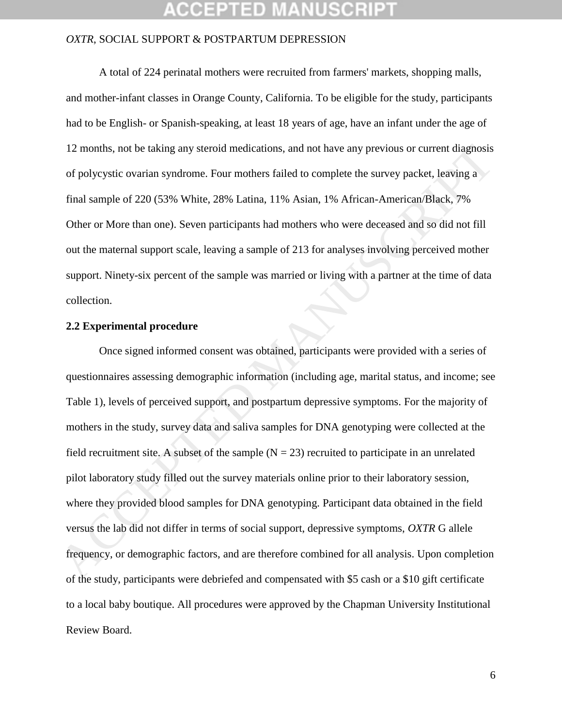## CCEPTED

#### *OXTR*, SOCIAL SUPPORT & POSTPARTUM DEPRESSION

A total of 224 perinatal mothers were recruited from farmers' markets, shopping malls, and mother-infant classes in Orange County, California. To be eligible for the study, participants had to be English- or Spanish-speaking, at least 18 years of age, have an infant under the age of 12 months, not be taking any steroid medications, and not have any previous or current diagnosis of polycystic ovarian syndrome. Four mothers failed to complete the survey packet, leaving a final sample of 220 (53% White, 28% Latina, 11% Asian, 1% African-American/Black, 7% Other or More than one). Seven participants had mothers who were deceased and so did not fill out the maternal support scale, leaving a sample of 213 for analyses involving perceived mother support. Ninety-six percent of the sample was married or living with a partner at the time of data collection.

#### **2.2 Experimental procedure**

Once signed informed consent was obtained, participants were provided with a series of questionnaires assessing demographic information (including age, marital status, and income; see Table 1), levels of perceived support, and postpartum depressive symptoms. For the majority of mothers in the study, survey data and saliva samples for DNA genotyping were collected at the field recruitment site. A subset of the sample  $(N = 23)$  recruited to participate in an unrelated pilot laboratory study filled out the survey materials online prior to their laboratory session, where they provided blood samples for DNA genotyping. Participant data obtained in the field versus the lab did not differ in terms of social support, depressive symptoms, *OXTR* G allele frequency, or demographic factors, and are therefore combined for all analysis. Upon completion of the study, participants were debriefed and compensated with \$5 cash or a \$10 gift certificate to a local baby boutique. All procedures were approved by the Chapman University Institutional Review Board. 12 months, not be taking any steroid medications, and not have any previous or current diagnosis<br>of polycystic ovarian syndrome. Four mothers failed to complete the survey packet, leaving a<br>final sample of 220 (53% White,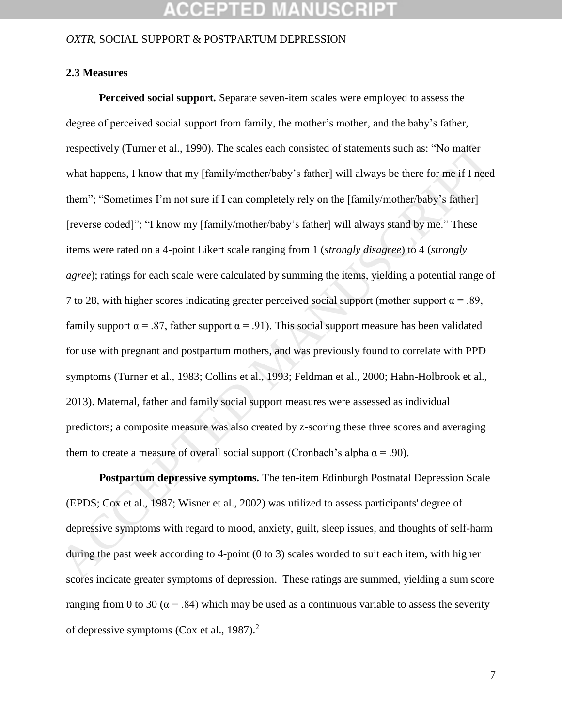## **CCEPTED MANUSCR**

#### *OXTR*, SOCIAL SUPPORT & POSTPARTUM DEPRESSION

### **2.3 Measures**

 **Perceived social support***.* Separate seven-item scales were employed to assess the degree of perceived social support from family, the mother's mother, and the baby's father, respectively (Turner et al., 1990). The scales each consisted of statements such as: "No matter what happens, I know that my [family/mother/baby's father] will always be there for me if I need them"; "Sometimes I'm not sure if I can completely rely on the [family/mother/baby's father] [reverse coded]"; "I know my [family/mother/baby's father] will always stand by me." These items were rated on a 4-point Likert scale ranging from 1 (*strongly disagree*) to 4 (*strongly agree*); ratings for each scale were calculated by summing the items, yielding a potential range of 7 to 28, with higher scores indicating greater perceived social support (mother support  $\alpha = .89$ , family support  $\alpha = .87$ , father support  $\alpha = .91$ ). This social support measure has been validated for use with pregnant and postpartum mothers, and was previously found to correlate with PPD symptoms (Turner et al., 1983; Collins et al., 1993; Feldman et al., 2000; Hahn-Holbrook et al., 2013). Maternal, father and family social support measures were assessed as individual predictors; a composite measure was also created by z-scoring these three scores and averaging them to create a measure of overall social support (Cronbach's alpha  $\alpha = .90$ ). respectively (Turner et al., 1990). The scales each consisted of statements such as: "No matter<br>what happens, I know that my [limily/mother/baby's father] will always be there for me if I need<br>them"; "Sometimes I'm not su

 **Postpartum depressive symptoms***.* The ten-item Edinburgh Postnatal Depression Scale (EPDS; Cox et al., 1987; Wisner et al., 2002) was utilized to assess participants' degree of depressive symptoms with regard to mood, anxiety, guilt, sleep issues, and thoughts of self-harm during the past week according to 4-point (0 to 3) scales worded to suit each item, with higher scores indicate greater symptoms of depression. These ratings are summed, yielding a sum score ranging from 0 to 30 ( $\alpha$  = .84) which may be used as a continuous variable to assess the severity of depressive symptoms (Cox et al., 1987).<sup>2</sup>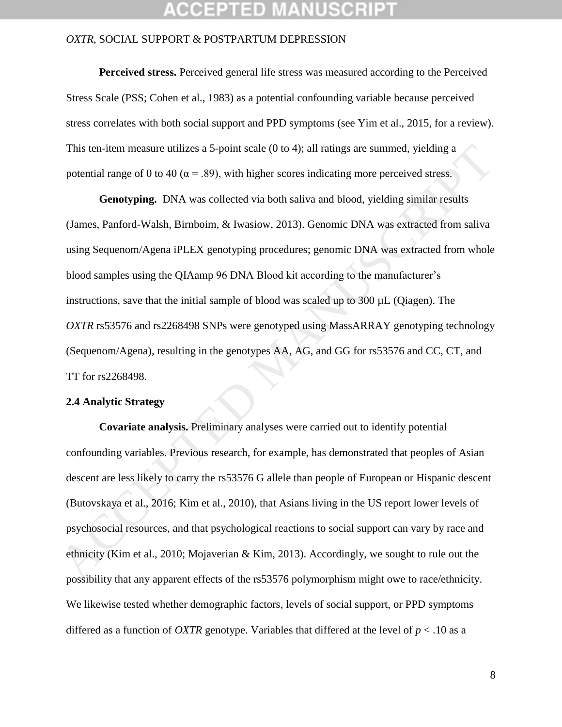#### *OXTR*, SOCIAL SUPPORT & POSTPARTUM DEPRESSION

**Perceived stress.** Perceived general life stress was measured according to the Perceived Stress Scale (PSS; Cohen et al., 1983) as a potential confounding variable because perceived stress correlates with both social support and PPD symptoms (see Yim et al., 2015, for a review). This ten-item measure utilizes a 5-point scale (0 to 4); all ratings are summed, yielding a potential range of 0 to 40 ( $\alpha$  = .89), with higher scores indicating more perceived stress.

**Genotyping.** DNA was collected via both saliva and blood, yielding similar results (James, Panford-Walsh, Birnboim, & Iwasiow, 2013). Genomic DNA was extracted from saliva using Sequenom/Agena iPLEX genotyping procedures; genomic DNA was extracted from whole blood samples using the QIAamp 96 DNA Blood kit according to the manufacturer's instructions, save that the initial sample of blood was scaled up to 300 µL (Qiagen). The *OXTR* rs53576 and rs2268498 SNPs were genotyped using MassARRAY genotyping technology (Sequenom/Agena), resulting in the genotypes AA, AG, and GG for rs53576 and CC, CT, and TT for rs2268498. This ten-item measure utilizes a 5-point scale (0 to 4); all ratings are summed, yielding a<br>potential range of 0 to 40 ( $\alpha$  = .89), with higher scores indicating more perceived stress.<br>**Cenotyping**. DNA was collected via

#### **2.4 Analytic Strategy**

**Covariate analysis.** Preliminary analyses were carried out to identify potential confounding variables. Previous research, for example, has demonstrated that peoples of Asian descent are less likely to carry the rs53576 G allele than people of European or Hispanic descent (Butovskaya et al., 2016; Kim et al., 2010), that Asians living in the US report lower levels of psychosocial resources, and that psychological reactions to social support can vary by race and ethnicity (Kim et al., 2010; Mojaverian & Kim, 2013). Accordingly, we sought to rule out the possibility that any apparent effects of the rs53576 polymorphism might owe to race/ethnicity. We likewise tested whether demographic factors, levels of social support, or PPD symptoms differed as a function of *OXTR* genotype. Variables that differed at the level of  $p < .10$  as a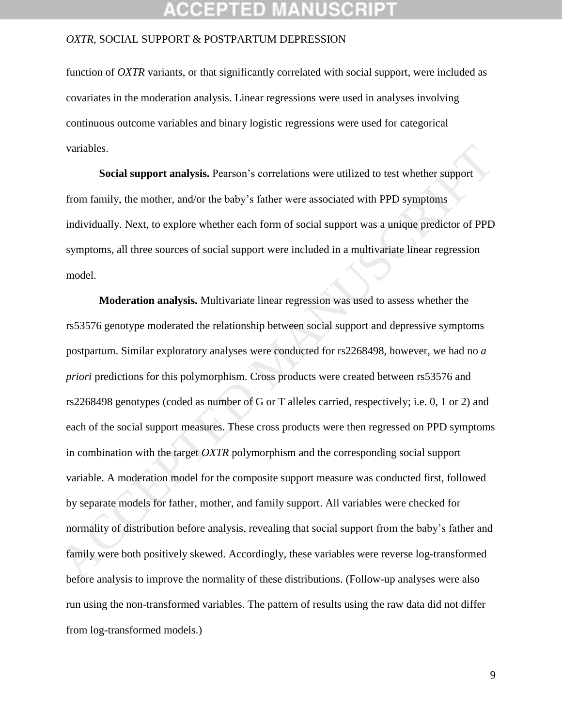function of *OXTR* variants, or that significantly correlated with social support, were included as covariates in the moderation analysis. Linear regressions were used in analyses involving continuous outcome variables and binary logistic regressions were used for categorical variables.

**Social support analysis.** Pearson's correlations were utilized to test whether support from family, the mother, and/or the baby's father were associated with PPD symptoms individually. Next, to explore whether each form of social support was a unique predictor of PPD symptoms, all three sources of social support were included in a multivariate linear regression model.

**Moderation analysis.** Multivariate linear regression was used to assess whether the rs53576 genotype moderated the relationship between social support and depressive symptoms postpartum. Similar exploratory analyses were conducted for rs2268498, however, we had no *a priori* predictions for this polymorphism. Cross products were created between rs53576 and rs2268498 genotypes (coded as number of G or T alleles carried, respectively; i.e. 0, 1 or 2) and each of the social support measures. These cross products were then regressed on PPD symptoms in combination with the target *OXTR* polymorphism and the corresponding social support variable. A moderation model for the composite support measure was conducted first, followed by separate models for father, mother, and family support. All variables were checked for normality of distribution before analysis, revealing that social support from the baby's father and family were both positively skewed. Accordingly, these variables were reverse log-transformed before analysis to improve the normality of these distributions. (Follow-up analyses were also run using the non-transformed variables. The pattern of results using the raw data did not differ from log-transformed models.) variables.<br> **Social support analysis.** Pearson's correlations were utilized to test whether support<br>
from family, the mother, and/or the baby's father were associated with PPD symptoms<br>
individually. Next, to explore whet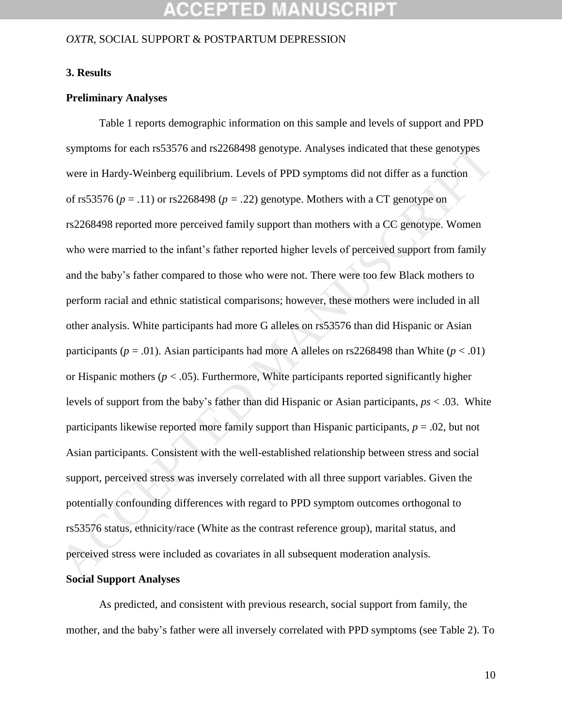# CCEPTED MANUSCR

#### *OXTR*, SOCIAL SUPPORT & POSTPARTUM DEPRESSION

#### **3. Results**

#### **Preliminary Analyses**

Table 1 reports demographic information on this sample and levels of support and PPD symptoms for each rs53576 and rs2268498 genotype. Analyses indicated that these genotypes were in Hardy-Weinberg equilibrium. Levels of PPD symptoms did not differ as a function of rs53576 (*p* = .11) or rs2268498 (*p = .*22) genotype. Mothers with a CT genotype on rs2268498 reported more perceived family support than mothers with a CC genotype. Women who were married to the infant's father reported higher levels of perceived support from family and the baby's father compared to those who were not. There were too few Black mothers to perform racial and ethnic statistical comparisons; however, these mothers were included in all other analysis. White participants had more G alleles on rs53576 than did Hispanic or Asian participants ( $p = .01$ ). Asian participants had more A alleles on rs2268498 than White ( $p < .01$ ) or Hispanic mothers ( $p < .05$ ). Furthermore, White participants reported significantly higher levels of support from the baby's father than did Hispanic or Asian participants, *ps* < .03. White participants likewise reported more family support than Hispanic participants, *p* = .02, but not Asian participants. Consistent with the well-established relationship between stress and social support, perceived stress was inversely correlated with all three support variables. Given the potentially confounding differences with regard to PPD symptom outcomes orthogonal to rs53576 status, ethnicity/race (White as the contrast reference group), marital status, and perceived stress were included as covariates in all subsequent moderation analysis. symptoms for each rs53576 and rs2268498 genotype. Analyses indicated that these genotypes<br>were in Hardy-Weinberg equilibrium. Levels of PPD symptoms did not differ as a function<br>of rs53576 ( $p = .11$ ) or rs2268498 ( $p = .22$ )

#### **Social Support Analyses**

As predicted, and consistent with previous research, social support from family, the mother, and the baby's father were all inversely correlated with PPD symptoms (see Table 2). To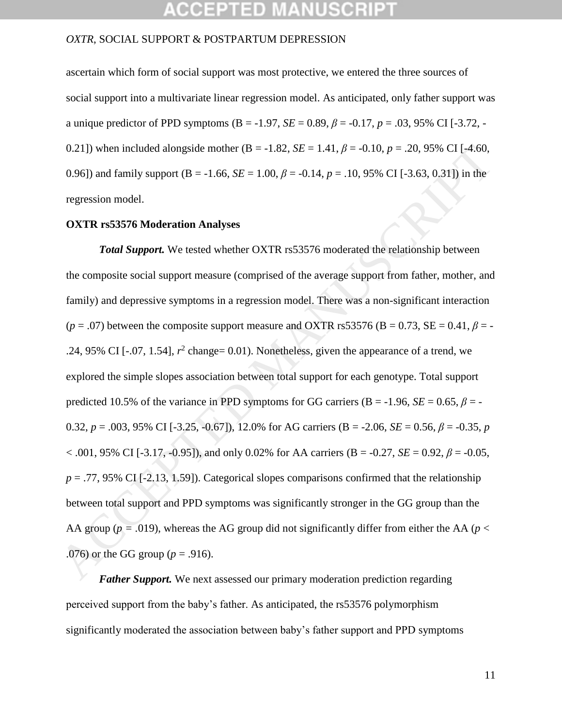#### *OXTR*, SOCIAL SUPPORT & POSTPARTUM DEPRESSION

ascertain which form of social support was most protective, we entered the three sources of social support into a multivariate linear regression model. As anticipated, only father support was a unique predictor of PPD symptoms (B = -1.97, *SE* = 0.89,  $\beta$  = -0.17, *p* = .03, 95% CI [-3.72, -0.21]) when included alongside mother (B = -1.82, *SE* = 1.41,  $\beta$  = -0.10,  $p = .20$ , 95% CI [-4.60, 0.96]) and family support (B = -1.66,  $SE = 1.00$ ,  $\beta = -0.14$ ,  $p = .10$ , 95% CI [-3.63, 0.31]) in the regression model.

#### **OXTR rs53576 Moderation Analyses**

*Total Support.* We tested whether OXTR rs53576 moderated the relationship between the composite social support measure (comprised of the average support from father, mother, and family) and depressive symptoms in a regression model. There was a non-significant interaction  $(p = .07)$  between the composite support measure and OXTR rs53576 (B = 0.73, SE = 0.41,  $\beta$  = -.24, 95% CI [ $-0.07$ , 1.54],  $r^2$  change= 0.01). Nonetheless, given the appearance of a trend, we explored the simple slopes association between total support for each genotype. Total support predicted 10.5% of the variance in PPD symptoms for GG carriers (B = -1.96,  $SE = 0.65$ ,  $\beta = -1.96$ 0.32,  $p = .003$ , 95% CI [-3.25, -0.67]), 12.0% for AG carriers (B = -2.06, *SE* = 0.56,  $\beta$  = -0.35, *p*  $< .001, 95\%$  CI [-3.17, -0.95]), and only 0.02% for AA carriers (B = -0.27, *SE* = 0.92,  $\beta$  = -0.05,  $p = .77,95\%$  CI [-2.13, 1.59]). Categorical slopes comparisons confirmed that the relationship between total support and PPD symptoms was significantly stronger in the GG group than the AA group ( $p = .019$ ), whereas the AG group did not significantly differ from either the AA ( $p <$ .076) or the GG group (*p* = .916). 0.21)) when included alongside mother ( $B = -1.82$ ,  $SE = 1.41$ ,  $\beta = -0.10$ ,  $p = .20$ , 95% CI [-4.60,<br>
0.96]) and family support ( $B = -1.66$ ,  $SE = 1.00$ ,  $\beta = -0.14$ ,  $p = .10$ , 95% CI [-3.63, 0.31]) in the<br> **CCEPTE MANUSE CIVALUST** 

*Father Support.* We next assessed our primary moderation prediction regarding perceived support from the baby's father. As anticipated, the rs53576 polymorphism significantly moderated the association between baby's father support and PPD symptoms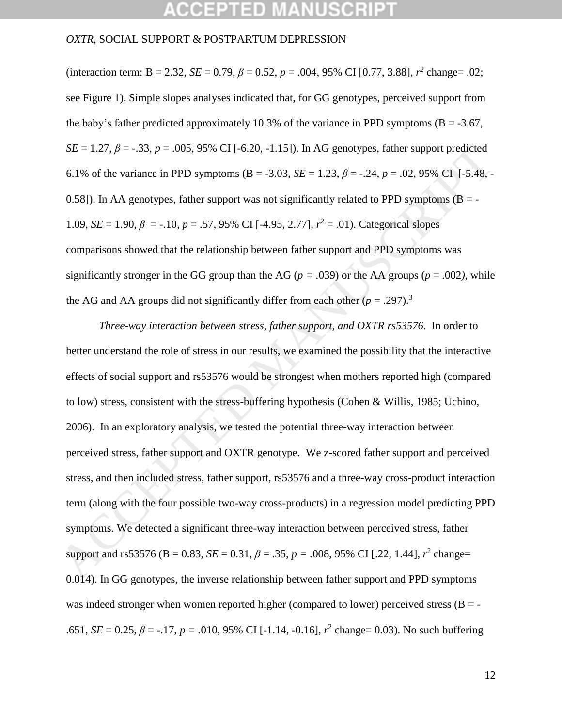## CCEPTED MANUSCR

#### *OXTR*, SOCIAL SUPPORT & POSTPARTUM DEPRESSION

(interaction term: B = 2.32, *SE* = 0.79,  $\beta$  = 0.52,  $p$  = .004, 95% CI [0.77, 3.88],  $r^2$  change= .02; see Figure 1). Simple slopes analyses indicated that, for GG genotypes, perceived support from the baby's father predicted approximately 10.3% of the variance in PPD symptoms ( $B = -3.67$ , *SE* = 1.27,  $\beta$  = -.33,  $p = .005$ , 95% CI [-6.20, -1.15]). In AG genotypes, father support predicted 6.1% of the variance in PPD symptoms (B = -3.03, *SE* = 1.23,  $\beta$  = -.24,  $p = .02,95\%$  CI [-5.48, -0.58]). In AA genotypes, father support was not significantly related to PPD symptoms ( $B = -$ 1.09, *SE* = 1.90,  $\beta$  = -.10,  $p = .57$ , 95% CI [-4.95, 2.77],  $r^2 = .01$ ). Categorical slopes comparisons showed that the relationship between father support and PPD symptoms was significantly stronger in the GG group than the AG ( $p = .039$ ) or the AA groups ( $p = .002$ ), while the AG and AA groups did not significantly differ from each other  $(p = .297).$ <sup>3</sup>

*Three-way interaction between stress, father support, and OXTR rs53576.* In order to better understand the role of stress in our results, we examined the possibility that the interactive effects of social support and rs53576 would be strongest when mothers reported high (compared to low) stress, consistent with the stress-buffering hypothesis (Cohen & Willis, 1985; Uchino, 2006). In an exploratory analysis, we tested the potential three-way interaction between perceived stress, father support and OXTR genotype. We z-scored father support and perceived stress, and then included stress, father support, rs53576 and a three-way cross-product interaction term (along with the four possible two-way cross-products) in a regression model predicting PPD symptoms. We detected a significant three-way interaction between perceived stress, father support and rs53576 (B = 0.83, *SE* = 0.31,  $\beta$  = .35,  $p$  = .008, 95% CI [.22, 1.44],  $r^2$  change= 0.014). In GG genotypes, the inverse relationship between father support and PPD symptoms was indeed stronger when women reported higher (compared to lower) perceived stress  $(B = -1)$ .651, *SE* = 0.25,  $\beta$  = -.17,  $p = .010$ , 95% CI [-1.14, -0.16],  $r^2$  change= 0.03). No such buffering  $SE = 1.27$ ,  $\beta = -33$ ,  $p = .005$ , 95% CI [-6.20, -1.15)). In AG genotypes, father support predicted<br>6.1% of the variance in PPD symptoms (B = -3.03,  $SE = 1.23$ ,  $\beta = -24$ ,  $p = .02$ , 95% CI [-5.48, -0.58)). In AA genotypes, fath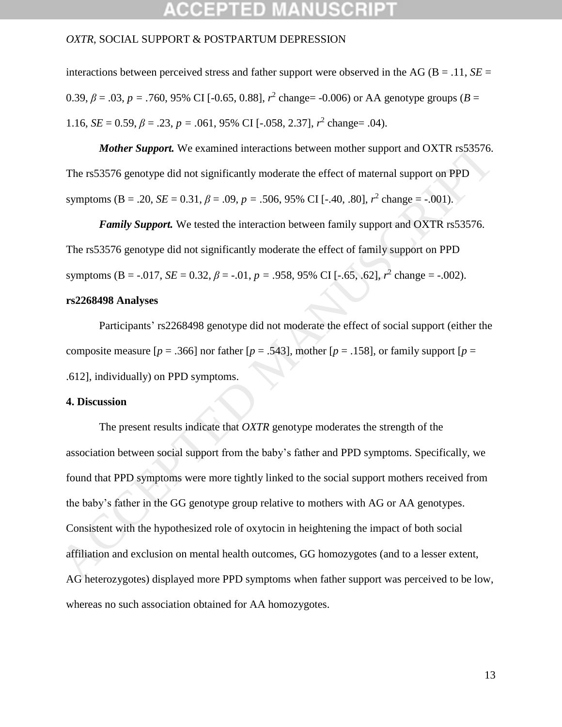#### *OXTR*, SOCIAL SUPPORT & POSTPARTUM DEPRESSION

interactions between perceived stress and father support were observed in the AG ( $B = .11$ ,  $SE =$ 0.39,  $\beta$  = .03,  $p$  = .760, 95% CI [-0.65, 0.88],  $r^2$  change= -0.006) or AA genotype groups ( $B =$ 1.16, *SE* = 0.59,  $\beta$  = .23,  $p$  = .061, 95% CI [-.058, 2.37],  $r^2$  change= .04).

*Mother Support.* We examined interactions between mother support and OXTR rs53576. The rs53576 genotype did not significantly moderate the effect of maternal support on PPD symptoms (B = .20, *SE* = 0.31,  $\beta$  = .09,  $p$  = .506, 95% CI [-.40, .80],  $r^2$  change = -.001).

*Family Support.* We tested the interaction between family support and OXTR rs53576. The rs53576 genotype did not significantly moderate the effect of family support on PPD symptoms (B = -.017, *SE* = 0.32,  $\beta$  = -.01,  $p = .958$ , 95% CI [-.65, .62],  $r^2$  change = -.002).

#### **rs2268498 Analyses**

Participants' rs2268498 genotype did not moderate the effect of social support (either the composite measure  $[p = .366]$  nor father  $[p = .543]$ , mother  $[p = .158]$ , or family support  $[p = .156]$ .612], individually) on PPD symptoms.

#### **4. Discussion**

The present results indicate that *OXTR* genotype moderates the strength of the association between social support from the baby's father and PPD symptoms. Specifically, we found that PPD symptoms were more tightly linked to the social support mothers received from the baby's father in the GG genotype group relative to mothers with AG or AA genotypes. Consistent with the hypothesized role of oxytocin in heightening the impact of both social affiliation and exclusion on mental health outcomes, GG homozygotes (and to a lesser extent, AG heterozygotes) displayed more PPD symptoms when father support was perceived to be low, whereas no such association obtained for AA homozygotes. **Mother Support.** We examined interactions between mother support and OXTR rs53576.<br>The rs53576 genotype did not significantly moderate the effect of maternal support on PPD<br>symptoms (B = .20, *SE* = 0.31,  $\beta$  = .09,  $p$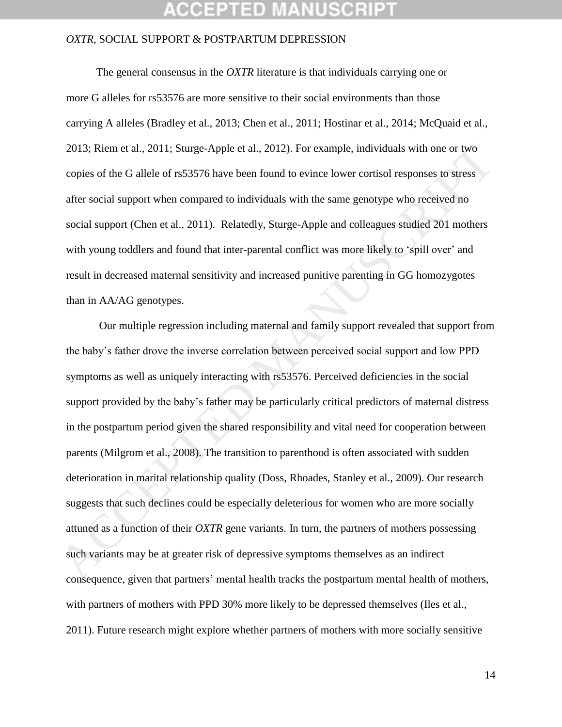### *OXTR*, SOCIAL SUPPORT & POSTPARTUM DEPRESSION

 The general consensus in the *OXTR* literature is that individuals carrying one or more G alleles for rs53576 are more sensitive to their social environments than those carrying A alleles (Bradley et al., 2013; Chen et al., 2011; Hostinar et al., 2014; McQuaid et al., 2013; Riem et al., 2011; Sturge-Apple et al., 2012). For example, individuals with one or two copies of the G allele of rs53576 have been found to evince lower cortisol responses to stress after social support when compared to individuals with the same genotype who received no social support (Chen et al., 2011). Relatedly, Sturge-Apple and colleagues studied 201 mothers with young toddlers and found that inter-parental conflict was more likely to 'spill over' and result in decreased maternal sensitivity and increased punitive parenting in GG homozygotes than in AA/AG genotypes.

Our multiple regression including maternal and family support revealed that support from the baby's father drove the inverse correlation between perceived social support and low PPD symptoms as well as uniquely interacting with rs53576. Perceived deficiencies in the social support provided by the baby's father may be particularly critical predictors of maternal distress in the postpartum period given the shared responsibility and vital need for cooperation between parents (Milgrom et al., 2008). The transition to parenthood is often associated with sudden deterioration in marital relationship quality (Doss, Rhoades, Stanley et al., 2009). Our research suggests that such declines could be especially deleterious for women who are more socially attuned as a function of their *OXTR* gene variants. In turn, the partners of mothers possessing such variants may be at greater risk of depressive symptoms themselves as an indirect consequence, given that partners' mental health tracks the postpartum mental health of mothers, with partners of mothers with PPD 30% more likely to be depressed themselves (Iles et al., 2011). Future research might explore whether partners of mothers with more socially sensitive 2013; Riem et al., 2011; Sturge-Apple et al., 2012). For example, individuals with one or two<br>copies of the G allele of rs53576 have been found to evince lower cortisol responses to stress<br>after social support when compar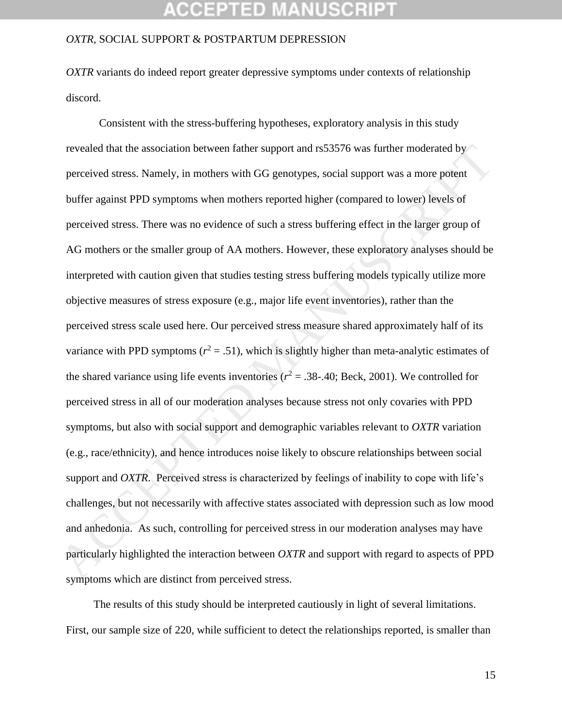#### *OXTR*, SOCIAL SUPPORT & POSTPARTUM DEPRESSION

*OXTR* variants do indeed report greater depressive symptoms under contexts of relationship discord.

Consistent with the stress-buffering hypotheses, exploratory analysis in this study revealed that the association between father support and rs53576 was further moderated by perceived stress. Namely, in mothers with GG genotypes, social support was a more potent buffer against PPD symptoms when mothers reported higher (compared to lower) levels of perceived stress. There was no evidence of such a stress buffering effect in the larger group of AG mothers or the smaller group of AA mothers. However, these exploratory analyses should be interpreted with caution given that studies testing stress buffering models typically utilize more objective measures of stress exposure (e.g., major life event inventories), rather than the perceived stress scale used here. Our perceived stress measure shared approximately half of its variance with PPD symptoms ( $r^2 = .51$ ), which is slightly higher than meta-analytic estimates of the shared variance using life events inventories ( $r^2 = .38$ -.40; Beck, 2001). We controlled for perceived stress in all of our moderation analyses because stress not only covaries with PPD symptoms, but also with social support and demographic variables relevant to *OXTR* variation (e.g., race/ethnicity), and hence introduces noise likely to obscure relationships between social support and *OXTR*. Perceived stress is characterized by feelings of inability to cope with life's challenges, but not necessarily with affective states associated with depression such as low mood and anhedonia. As such, controlling for perceived stress in our moderation analyses may have particularly highlighted the interaction between *OXTR* and support with regard to aspects of PPD symptoms which are distinct from perceived stress. revealed that the association between father support and rs53576 was further moderated by<br>perceived stress. Namely, in mothers with GG genotypes, social support was a more potent<br>buffer against PPD symptoms when mothers r

 The results of this study should be interpreted cautiously in light of several limitations. First, our sample size of 220, while sufficient to detect the relationships reported, is smaller than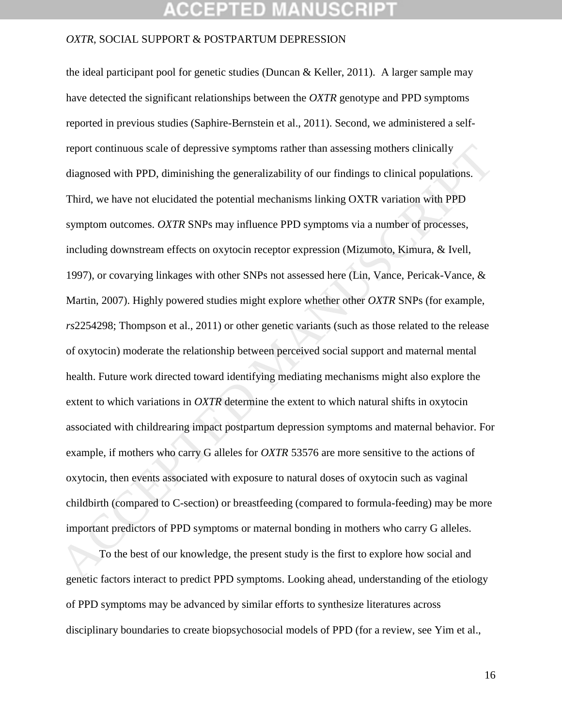#### *OXTR*, SOCIAL SUPPORT & POSTPARTUM DEPRESSION

the ideal participant pool for genetic studies (Duncan & Keller, 2011). A larger sample may have detected the significant relationships between the *OXTR* genotype and PPD symptoms reported in previous studies (Saphire-Bernstein et al., 2011). Second, we administered a selfreport continuous scale of depressive symptoms rather than assessing mothers clinically diagnosed with PPD, diminishing the generalizability of our findings to clinical populations. Third, we have not elucidated the potential mechanisms linking OXTR variation with PPD symptom outcomes. *OXTR* SNPs may influence PPD symptoms via a number of processes, including downstream effects on oxytocin receptor expression (Mizumoto, Kimura, & Ivell, 1997), or covarying linkages with other SNPs not assessed here (Lin, Vance, Pericak-Vance, & Martin, 2007). Highly powered studies might explore whether other *OXTR* SNPs (for example, *rs*2254298; Thompson et al., 2011) or other genetic variants (such as those related to the release of oxytocin) moderate the relationship between perceived social support and maternal mental health. Future work directed toward identifying mediating mechanisms might also explore the extent to which variations in *OXTR* determine the extent to which natural shifts in oxytocin associated with childrearing impact postpartum depression symptoms and maternal behavior. For example, if mothers who carry G alleles for *OXTR* 53576 are more sensitive to the actions of oxytocin, then events associated with exposure to natural doses of oxytocin such as vaginal childbirth (compared to C-section) or breastfeeding (compared to formula-feeding) may be more important predictors of PPD symptoms or maternal bonding in mothers who carry G alleles. report continuous scale of depressive symptoms rather than assessing mothers clinically<br>diagnosed with PPD, diminishing the generalizability of our findings to clinical populations.<br>Third, we have not clucidated the poten

To the best of our knowledge, the present study is the first to explore how social and genetic factors interact to predict PPD symptoms. Looking ahead, understanding of the etiology of PPD symptoms may be advanced by similar efforts to synthesize literatures across disciplinary boundaries to create biopsychosocial models of PPD (for a review, see Yim et al.,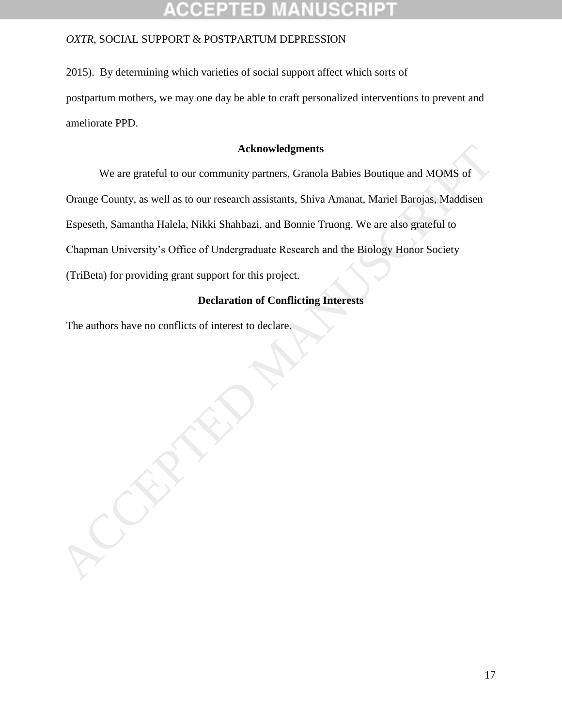2015). By determining which varieties of social support affect which sorts of postpartum mothers, we may one day be able to craft personalized interventions to prevent and ameliorate PPD.

### **Acknowledgments**

We are grateful to our community partners, Granola Babies Boutique and MOMS of Orange County, as well as to our research assistants, Shiva Amanat, Mariel Barojas, Maddisen Espeseth, Samantha Halela, Nikki Shahbazi, and Bonnie Truong. We are also grateful to Chapman University's Office of Undergraduate Research and the Biology Honor Society (TriBeta) for providing grant support for this project. Acknowledgments<br>
We are grateful to our community partners, Granola Babies Boutique and MOMS of<br>
Orange County, as well as to our research assistants, Shiva Amanat, Mariel Barojas, Maddisen<br>
Espeseth, Samantha Halela, Nikk

### **Declaration of Conflicting Interests**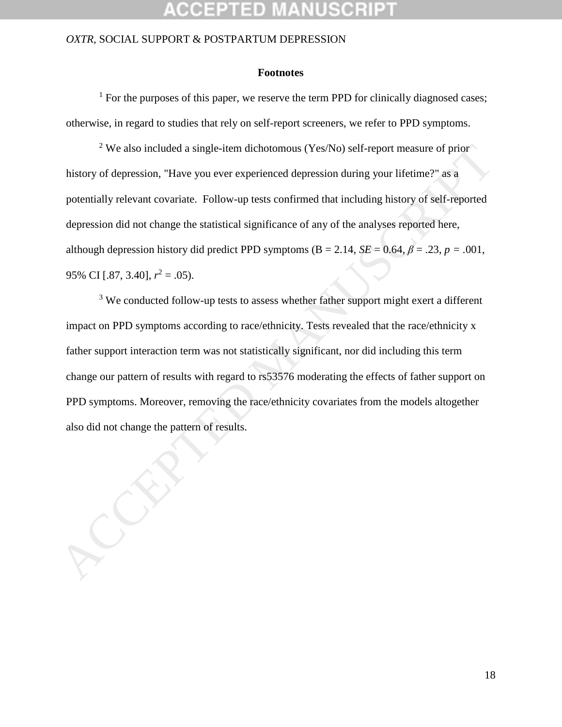#### **Footnotes**

 $<sup>1</sup>$  For the purposes of this paper, we reserve the term PPD for clinically diagnosed cases;</sup> otherwise, in regard to studies that rely on self-report screeners, we refer to PPD symptoms.

<sup>2</sup> We also included a single-item dichotomous (Yes/No) self-report measure of prior history of depression, "Have you ever experienced depression during your lifetime?" as a potentially relevant covariate. Follow-up tests confirmed that including history of self-reported depression did not change the statistical significance of any of the analyses reported here, although depression history did predict PPD symptoms ( $B = 2.14$ ,  $SE = 0.64$ ,  $\beta = .23$ ,  $p = .001$ , 95% CI [.87, 3.40], *r* <sup>2</sup> = .05). <sup>2</sup> We also included a single-item dichotomous (Yes/No) self-report measure of prior<br>history of depression, "Have you ever experienced depression during your lifetime?" as a<br>potentially relevant covariate. Follow-up tests

<sup>3</sup> We conducted follow-up tests to assess whether father support might exert a different impact on PPD symptoms according to race/ethnicity. Tests revealed that the race/ethnicity x father support interaction term was not statistically significant, nor did including this term change our pattern of results with regard to rs53576 moderating the effects of father support on PPD symptoms. Moreover, removing the race/ethnicity covariates from the models altogether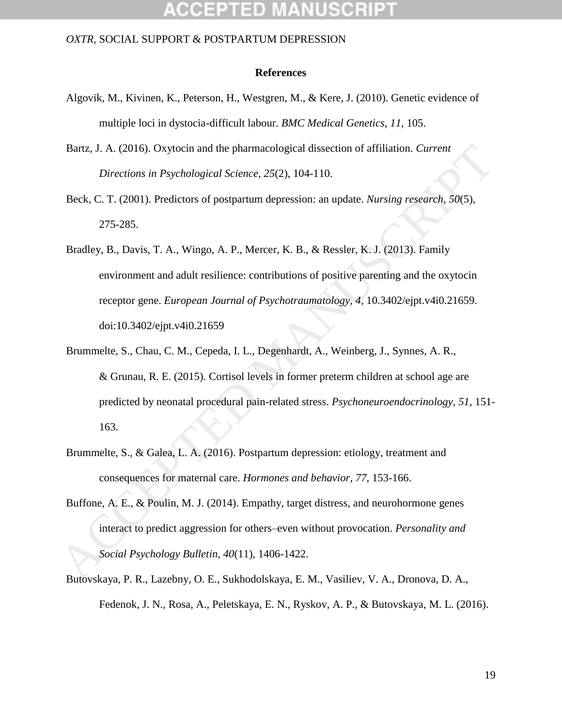#### **References**

- Algovik, M., Kivinen, K., Peterson, H., Westgren, M., & Kere, J. (2010). Genetic evidence of multiple loci in dystocia-difficult labour. *BMC Medical Genetics*, *11*, 105.
- Bartz, J. A. (2016). Oxytocin and the pharmacological dissection of affiliation. *Current Directions in Psychological Science, 25*(2), 104-110.
- Beck, C. T. (2001). Predictors of postpartum depression: an update. *Nursing research*, *50*(5), 275-285.
- Bradley, B., Davis, T. A., Wingo, A. P., Mercer, K. B., & Ressler, K. J. (2013). Family environment and adult resilience: contributions of positive parenting and the oxytocin receptor gene. *European Journal of Psychotraumatology, 4*, 10.3402/ejpt.v4i0.21659. doi:10.3402/ejpt.v4i0.21659
- Brummelte, S., Chau, C. M., Cepeda, I. L., Degenhardt, A., Weinberg, J., Synnes, A. R., & Grunau, R. E. (2015). Cortisol levels in former preterm children at school age are predicted by neonatal procedural pain-related stress. *Psychoneuroendocrinology, 51*, 151- 163. Bartz, J. A. (2016). Oxytocin and the pharmacological dissection of affiliation. Current<br>
Directions in Psychological Science, 25(2), 104-110.<br>
Beck, C. T. (2001). Predictors of postpartum depression: an update. *Nursing* 
	- Brummelte, S., & Galea, L. A. (2016). Postpartum depression: etiology, treatment and consequences for maternal care. *Hormones and behavior*, *77*, 153-166.
	- Buffone, A. E., & Poulin, M. J. (2014). Empathy, target distress, and neurohormone genes interact to predict aggression for others–even without provocation. *Personality and Social Psychology Bulletin, 40*(11), 1406-1422.
	- Butovskaya, P. R., Lazebny, O. E., Sukhodolskaya, E. M., Vasiliev, V. A., Dronova, D. A., Fedenok, J. N., Rosa, A., Peletskaya, E. N., Ryskov, A. P., & Butovskaya, M. L. (2016).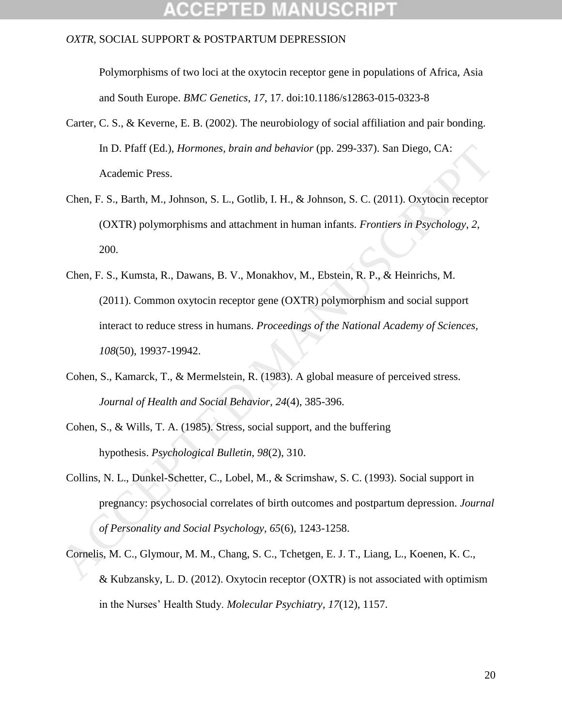Polymorphisms of two loci at the oxytocin receptor gene in populations of Africa, Asia and South Europe. *BMC Genetics*, *17*, 17. doi:10.1186/s12863-015-0323-8

- Carter, C. S., & Keverne, E. B. (2002). The neurobiology of social affiliation and pair bonding. In D. Pfaff (Ed.), *Hormones, brain and behavior* (pp. 299-337). San Diego, CA: Academic Press.
- Chen, F. S., Barth, M., Johnson, S. L., Gotlib, I. H., & Johnson, S. C. (2011). Oxytocin receptor (OXTR) polymorphisms and attachment in human infants. *Frontiers in Psychology*, *2*, 200.
- Chen, F. S., Kumsta, R., Dawans, B. V., Monakhov, M., Ebstein, R. P., & Heinrichs, M. (2011). Common oxytocin receptor gene (OXTR) polymorphism and social support interact to reduce stress in humans. *Proceedings of the National Academy of Sciences, 108*(50), 19937-19942. In D. Pfaff (Ed.), *Hormones, brain and behavior* (pp. 299-337). San Diego, CA:<br>
Academic Press.<br>
Chen, F. S., Barth, M., Johnson, S. L., Gollib, I. H., & Johnson, S. C. (2011). Oxytocin receptor<br>
(OXTR) polymorphisms and
	- Cohen, S., Kamarck, T., & Mermelstein, R. (1983). A global measure of perceived stress. *Journal of Health and Social Behavior*, *24*(4), 385-396.
	- Cohen, S., & Wills, T. A. (1985). Stress, social support, and the buffering hypothesis. *Psychological Bulletin, 98*(2), 310.
	- Collins, N. L., Dunkel-Schetter, C., Lobel, M., & Scrimshaw, S. C. (1993). Social support in pregnancy: psychosocial correlates of birth outcomes and postpartum depression. *Journal of Personality and Social Psychology, 65*(6)*,* 1243-1258.
	- Cornelis, M. C., Glymour, M. M., Chang, S. C., Tchetgen, E. J. T., Liang, L., Koenen, K. C., & Kubzansky, L. D. (2012). Oxytocin receptor (OXTR) is not associated with optimism in the Nurses' Health Study. *Molecular Psychiatry, 17*(12), 1157.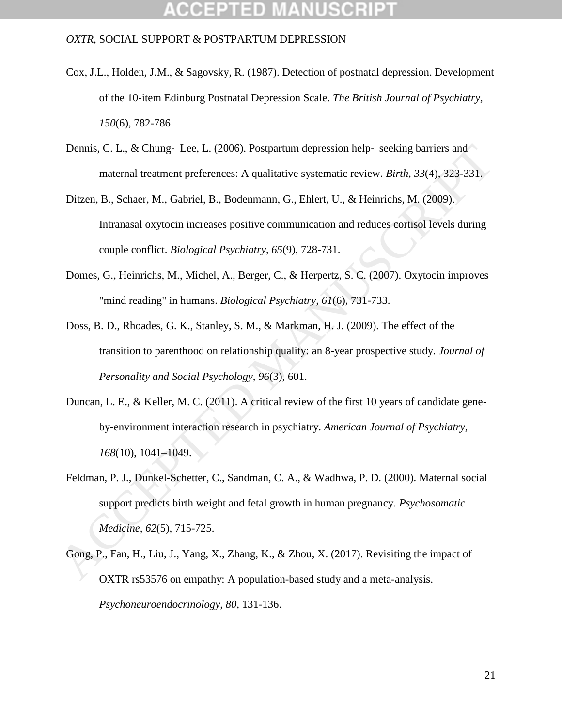# COEPTED MANUSCH

- Cox, J.L., Holden, J.M., & Sagovsky, R. (1987). Detection of postnatal depression. Development of the 10-item Edinburg Postnatal Depression Scale. *The British Journal of Psychiatry, 150*(6), 782-786.
- Dennis, C. L., & Chung- Lee, L. (2006). Postpartum depression help- seeking barriers and maternal treatment preferences: A qualitative systematic review. *Birth*, *33*(4), 323-331.
- Ditzen, B., Schaer, M., Gabriel, B., Bodenmann, G., Ehlert, U., & Heinrichs, M. (2009). Intranasal oxytocin increases positive communication and reduces cortisol levels during couple conflict. *Biological Psychiatry, 65*(9), 728-731.
- Domes, G., Heinrichs, M., Michel, A., Berger, C., & Herpertz, S. C. (2007). Oxytocin improves "mind reading" in humans. *Biological Psychiatry, 61*(6), 731-733.
- Doss, B. D., Rhoades, G. K., Stanley, S. M., & Markman, H. J. (2009). The effect of the transition to parenthood on relationship quality: an 8-year prospective study. *Journal of Personality and Social Psychology*, *96*(3), 601.
- Duncan, L. E., & Keller, M. C. (2011). A critical review of the first 10 years of candidate geneby-environment interaction research in psychiatry. *American Journal of Psychiatry, 168*(10), 1041–1049.
- Feldman, P. J., Dunkel-Schetter, C., Sandman, C. A., & Wadhwa, P. D. (2000). Maternal social support predicts birth weight and fetal growth in human pregnancy. *Psychosomatic Medicine, 62*(5)*,* 715-725. Dennis, C. L., & Chung- Lee, L. (2006). Postpartum depression help-seeking barriers and<br>maternal treatment preferences: A qualitative systematic review. *Birrh*, 33(4), 323-331,<br>Ditzen, B., Schaer, M., Gabriel, B., Bodenma
	- Gong, P., Fan, H., Liu, J., Yang, X., Zhang, K., & Zhou, X. (2017). Revisiting the impact of OXTR rs53576 on empathy: A population-based study and a meta-analysis. *Psychoneuroendocrinology, 80,* 131-136.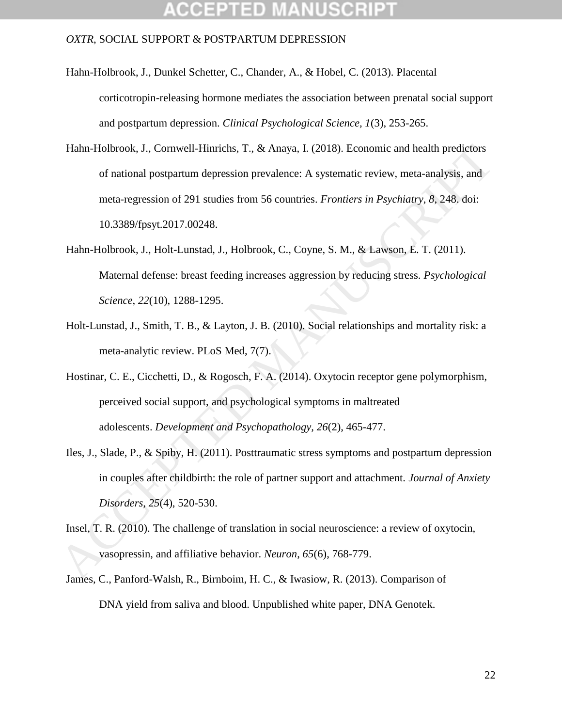# CCEPTED

- Hahn-Holbrook, J., Dunkel Schetter, C., Chander, A., & Hobel, C. (2013). Placental corticotropin-releasing hormone mediates the association between prenatal social support and postpartum depression. *Clinical Psychological Science, 1*(3), 253-265.
- Hahn-Holbrook, J., Cornwell-Hinrichs, T., & Anaya, I. (2018). Economic and health predictors of national postpartum depression prevalence: A systematic review, meta-analysis, and meta-regression of 291 studies from 56 countries. *Frontiers in Psychiatry*, *8*, 248. doi: 10.3389/fpsyt.2017.00248. Hahn-Holbrook, J., Comwell-Hinrichs, T., & Anaya, I. (2018). Economic and health predictors<br>
of national postpartum depression prevalence: A systematic review, meta-analysis, and<br>
meta-regression of 291 studies from 56 co
	- Hahn-Holbrook, J., Holt-Lunstad, J., Holbrook, C., Coyne, S. M., & Lawson, E. T. (2011). Maternal defense: breast feeding increases aggression by reducing stress. *Psychological Science*, *22*(10), 1288-1295.
	- Holt-Lunstad, J., Smith, T. B., & Layton, J. B. (2010). Social relationships and mortality risk: a meta-analytic review. PLoS Med, 7(7).
	- Hostinar, C. E., Cicchetti, D., & Rogosch, F. A. (2014). Oxytocin receptor gene polymorphism, perceived social support, and psychological symptoms in maltreated adolescents. *Development and Psychopathology, 26*(2), 465-477.
	- Iles, J., Slade, P., & Spiby, H. (2011). Posttraumatic stress symptoms and postpartum depression in couples after childbirth: the role of partner support and attachment. *Journal of Anxiety Disorders, 25*(4), 520-530.
	- Insel, T. R. (2010). The challenge of translation in social neuroscience: a review of oxytocin, vasopressin, and affiliative behavior. *Neuron*, *65*(6), 768-779.
	- James, C., Panford-Walsh, R., Birnboim, H. C., & Iwasiow, R. (2013). Comparison of DNA yield from saliva and blood. Unpublished white paper, DNA Genotek.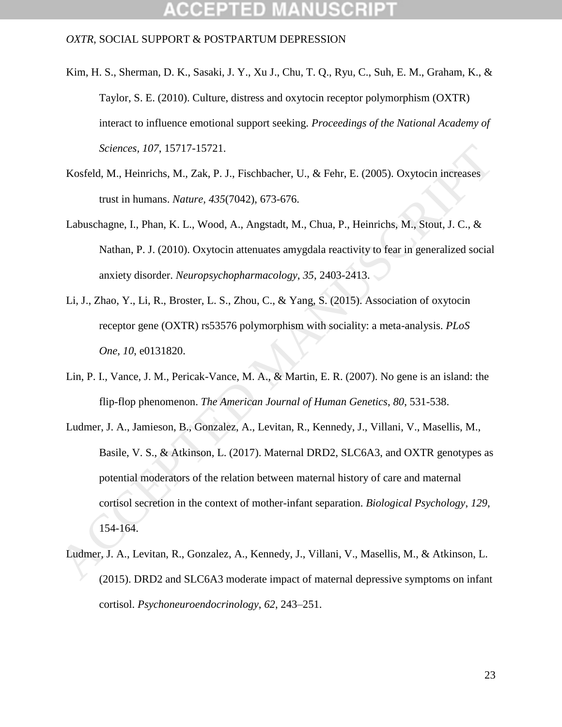- Kim, H. S., Sherman, D. K., Sasaki, J. Y., Xu J., Chu, T. Q., Ryu, C., Suh, E. M., Graham, K., & Taylor, S. E. (2010). Culture, distress and oxytocin receptor polymorphism (OXTR) interact to influence emotional support seeking. *Proceedings of the National Academy of Sciences, 107*, 15717-15721.
- Kosfeld, M., Heinrichs, M., Zak, P. J., Fischbacher, U., & Fehr, E. (2005). Oxytocin increases trust in humans. *Nature, 435*(7042), 673-676.
- Labuschagne, I., Phan, K. L., Wood, A., Angstadt, M., Chua, P., Heinrichs, M., Stout, J. C., & Nathan, P. J. (2010). Oxytocin attenuates amygdala reactivity to fear in generalized social anxiety disorder. *Neuropsychopharmacology*, *35*, 2403-2413.
- Li, J., Zhao, Y., Li, R., Broster, L. S., Zhou, C., & Yang, S. (2015). Association of oxytocin receptor gene (OXTR) rs53576 polymorphism with sociality: a meta-analysis. *PLoS One*, *10*, e0131820.
- Lin, P. I., Vance, J. M., Pericak-Vance, M. A., & Martin, E. R. (2007). No gene is an island: the flip-flop phenomenon. *The American Journal of Human Genetics*, *80*, 531-538.
- Ludmer, J. A., Jamieson, B., Gonzalez, A., Levitan, R., Kennedy, J., Villani, V., Masellis, M., Basile, V. S., & Atkinson, L. (2017). Maternal DRD2, SLC6A3, and OXTR genotypes as potential moderators of the relation between maternal history of care and maternal cortisol secretion in the context of mother-infant separation. *Biological Psychology*, *129*, 154-164. Sciences, 107, 15717-15721.<br>
Kosfeld, M., Heinrichs, M., Zak, P. J., Fischbacher, U., & Fehr, E. (2005). Oxytocin increases<br>
trust in humans. Nature, 435(7042), 673-676.<br>
Labuschagne, I., Phan, K. L., Wood, A., Angstadt, M
	- Ludmer, J. A., Levitan, R., Gonzalez, A., Kennedy, J., Villani, V., Masellis, M., & Atkinson, L. (2015). DRD2 and SLC6A3 moderate impact of maternal depressive symptoms on infant cortisol. *Psychoneuroendocrinology*, *62*, 243–251.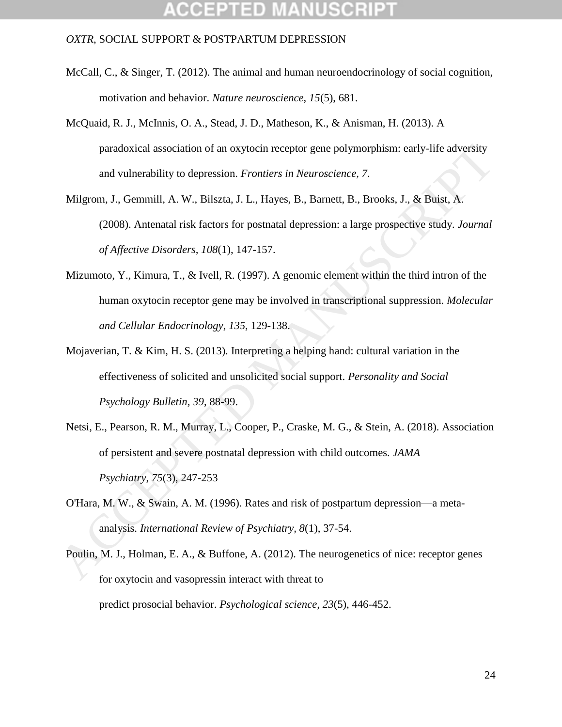## CCEPTED

- McCall, C., & Singer, T. (2012). The animal and human neuroendocrinology of social cognition, motivation and behavior. *Nature neuroscience*, *15*(5), 681.
- McQuaid, R. J., McInnis, O. A., Stead, J. D., Matheson, K., & Anisman, H. (2013). A paradoxical association of an oxytocin receptor gene polymorphism: early-life adversity and vulnerability to depression. *Frontiers in Neuroscience, 7*.
- Milgrom, J., Gemmill, A. W., Bilszta, J. L., Hayes, B., Barnett, B., Brooks, J., & Buist, A. (2008). Antenatal risk factors for postnatal depression: a large prospective study. *Journal of Affective Disorders, 108*(1), 147-157. paradoxical association of an oxytocin receptor gene polymorphism: early-life adversity<br>
und vulnerability to depression. *Frontiers in Neuroscience*, 7.<br>
Milgrom, J., Gemmill, A. W., Bilszta, J. L., Hayes, B., Barnett, B.
	- Mizumoto, Y., Kimura, T., & Ivell, R. (1997). A genomic element within the third intron of the human oxytocin receptor gene may be involved in transcriptional suppression. *Molecular and Cellular Endocrinology*, *135*, 129-138.
	- Mojaverian, T. & Kim, H. S. (2013). Interpreting a helping hand: cultural variation in the effectiveness of solicited and unsolicited social support. *Personality and Social Psychology Bulletin, 39*, 88-99.
	- Netsi, E., Pearson, R. M., Murray, L., Cooper, P., Craske, M. G., & Stein, A. (2018). Association of persistent and severe postnatal depression with child outcomes. *JAMA Psychiatry*, *75*(3), 247-253
	- O'Hara, M. W., & Swain, A. M. (1996). Rates and risk of postpartum depression—a metaanalysis. *International Review of Psychiatry, 8*(1), 37-54.
	- Poulin, M. J., Holman, E. A., & Buffone, A. (2012). The neurogenetics of nice: receptor genes for oxytocin and vasopressin interact with threat to predict prosocial behavior. *Psychological science, 23*(5), 446-452.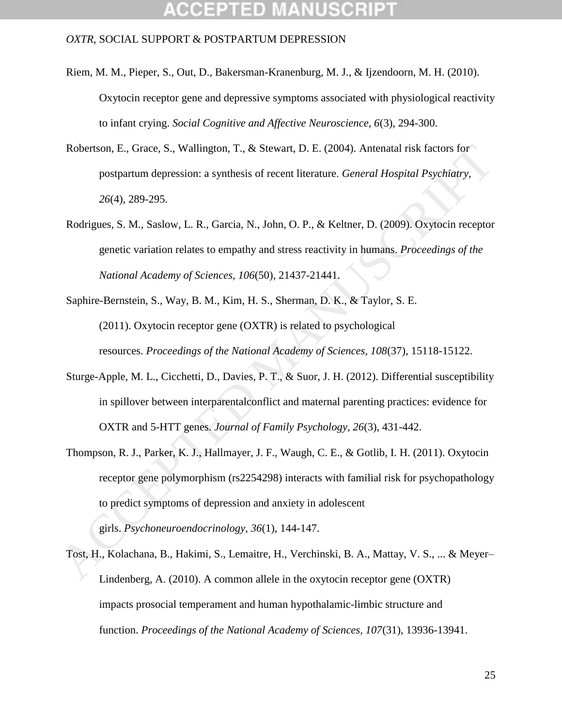## CCEPTED

- Riem, M. M., Pieper, S., Out, D., Bakersman-Kranenburg, M. J., & Ijzendoorn, M. H. (2010). Oxytocin receptor gene and depressive symptoms associated with physiological reactivity to infant crying. *Social Cognitive and Affective Neuroscience, 6*(3), 294-300.
- Robertson, E., Grace, S., Wallington, T., & Stewart, D. E. (2004). Antenatal risk factors for postpartum depression: a synthesis of recent literature. *General Hospital Psychiatry, 26*(4), 289-295.
- Rodrigues, S. M., Saslow, L. R., Garcia, N., John, O. P., & Keltner, D. (2009). Oxytocin receptor genetic variation relates to empathy and stress reactivity in humans. *Proceedings of the National Academy of Sciences, 106*(50), 21437-21441.
- Saphire-Bernstein, S., Way, B. M., Kim, H. S., Sherman, D. K., & Taylor, S. E. (2011). Oxytocin receptor gene (OXTR) is related to psychological resources. *Proceedings of the National Academy of Sciences, 108*(37), 15118-15122.
- Sturge-Apple, M. L., Cicchetti, D., Davies, P. T., & Suor, J. H. (2012). Differential susceptibility in spillover between interparentalconflict and maternal parenting practices: evidence for OXTR and 5-HTT genes. *Journal of Family Psychology, 26*(3), 431-442.
- Thompson, R. J., Parker, K. J., Hallmayer, J. F., Waugh, C. E., & Gotlib, I. H. (2011). Oxytocin receptor gene polymorphism (rs2254298) interacts with familial risk for psychopathology to predict symptoms of depression and anxiety in adolescent girls. *Psychoneuroendocrinology*, *36*(1), 144-147. Robertson, E., Grace, S., Wallington, T., & Stewart, D. E. (2004). Antenaual risk factors for<br>postpartum depression: a synthesis of recent literature. *General Hospital Psychiatry.*<br>
26(4), 289-295.<br>
Rodrigues, S. M., Sas
	- Tost, H., Kolachana, B., Hakimi, S., Lemaitre, H., Verchinski, B. A., Mattay, V. S., ... & Meyer– Lindenberg, A. (2010). A common allele in the oxytocin receptor gene (OXTR) impacts prosocial temperament and human hypothalamic-limbic structure and function. *Proceedings of the National Academy of Sciences, 107*(31), 13936-13941.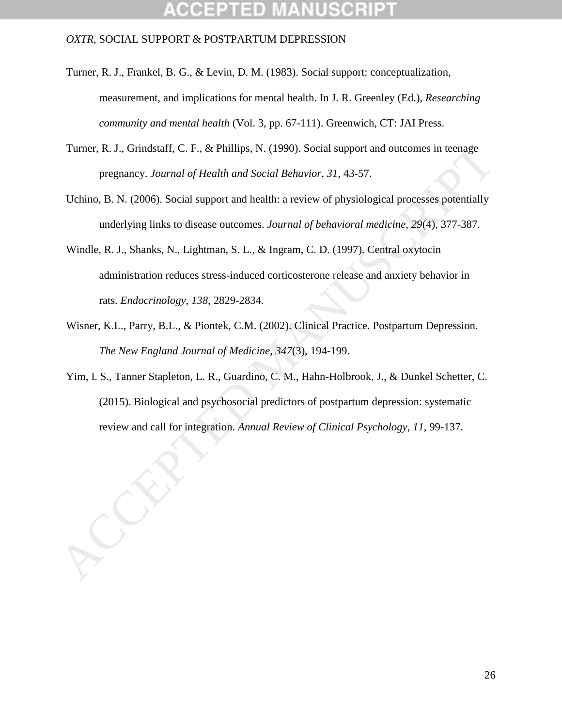- Turner, R. J., Frankel, B. G., & Levin, D. M. (1983). Social support: conceptualization, measurement, and implications for mental health. In J. R. Greenley (Ed.), *Researching community and mental health* (Vol. 3, pp. 67-111). Greenwich, CT: JAI Press.
- Turner, R. J., Grindstaff, C. F., & Phillips, N. (1990). Social support and outcomes in teenage pregnancy. *Journal of Health and Social Behavior, 31,* 43-57.
- Uchino, B. N. (2006). Social support and health: a review of physiological processes potentially underlying links to disease outcomes. *Journal of behavioral medicine*, *29*(4), 377-387.
- Windle, R. J., Shanks, N., Lightman, S. L., & Ingram, C. D. (1997). Central oxytocin administration reduces stress-induced corticosterone release and anxiety behavior in rats. *Endocrinology*, *138*, 2829-2834.
- Wisner, K.L., Parry, B.L., & Piontek, C.M. (2002). Clinical Practice. Postpartum Depression. *The New England Journal of Medicine, 347*(3), 194-199.
- Yim, I. S., Tanner Stapleton, L. R., Guardino, C. M., Hahn-Holbrook, J., & Dunkel Schetter, C. (2015). Biological and psychosocial predictors of postpartum depression: systematic Turner, R. J., Grindstaff, C. F., & Phillips, N. (1990). Social support and outcomes in leenage<br>pregnancy. Journal of Health and Social Behavior. 31, 43-57.<br>Uchino, B. N. (2006). Social support and health: a review of phys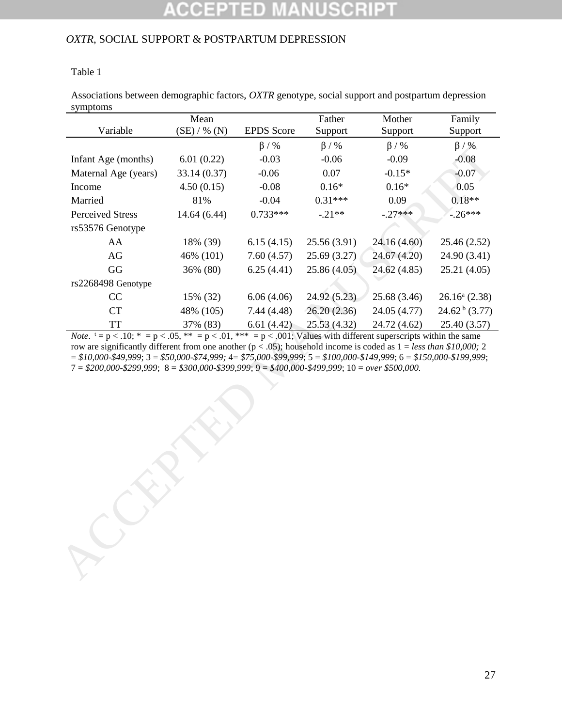### Table 1

Associations between demographic factors, *OXTR* genotype, social support and postpartum depression symptoms

|                                                                                                            | Mean         |                   | Father       | Mother       | Family                     |
|------------------------------------------------------------------------------------------------------------|--------------|-------------------|--------------|--------------|----------------------------|
| Variable                                                                                                   | (SE) / % (N) | <b>EPDS</b> Score | Support      | Support      | Support                    |
|                                                                                                            |              | $\beta$ / %       | $\beta$ / %  | $\beta$ / %  | $\beta / \%$               |
| Infant Age (months)                                                                                        | 6.01(0.22)   | $-0.03$           | $-0.06$      | $-0.09$      | $-0.08$                    |
| Maternal Age (years)                                                                                       | 33.14 (0.37) | $-0.06$           | 0.07         | $-0.15*$     | $-0.07$                    |
| Income                                                                                                     | 4.50(0.15)   | $-0.08$           | $0.16*$      | $0.16*$      | 0.05                       |
| Married                                                                                                    | 81%          | $-0.04$           | $0.31***$    | 0.09         | $0.18**$                   |
| <b>Perceived Stress</b>                                                                                    | 14.64 (6.44) | $0.733***$        | $-.21**$     | $-.27***$    | $-0.26***$                 |
| rs53576 Genotype                                                                                           |              |                   |              |              |                            |
| AA                                                                                                         | 18% (39)     | 6.15(4.15)        | 25.56 (3.91) | 24.16 (4.60) | 25.46 (2.52)               |
| AG                                                                                                         | 46% (101)    | 7.60(4.57)        | 25.69 (3.27) | 24.67 (4.20) | 24.90 (3.41)               |
| GG                                                                                                         | 36% (80)     | 6.25(4.41)        | 25.86(4.05)  | 24.62 (4.85) | 25.21(4.05)                |
| rs2268498 Genotype                                                                                         |              |                   |              |              |                            |
| CC                                                                                                         | 15% (32)     | 6.06(4.06)        | 24.92 (5.23) | 25.68 (3.46) | $26.16^a$ (2.38)           |
| <b>CT</b>                                                                                                  | 48% (105)    | 7.44(4.48)        | 26.20 (2.36) | 24.05 (4.77) | $24.62^{\mathrm{b}}(3.77)$ |
| <b>TT</b>                                                                                                  | 37% (83)     | 6.61(4.42)        | 25.53 (4.32) | 24.72 (4.62) | 25.40 (3.57)               |
| $7 = $200,000 - $299,999$ ; $8 = $300,000 - $399,999$ ; $9 = $400,000 - $499,999$ ; $10 = over $500,000$ . |              |                   |              |              |                            |
|                                                                                                            |              |                   |              |              |                            |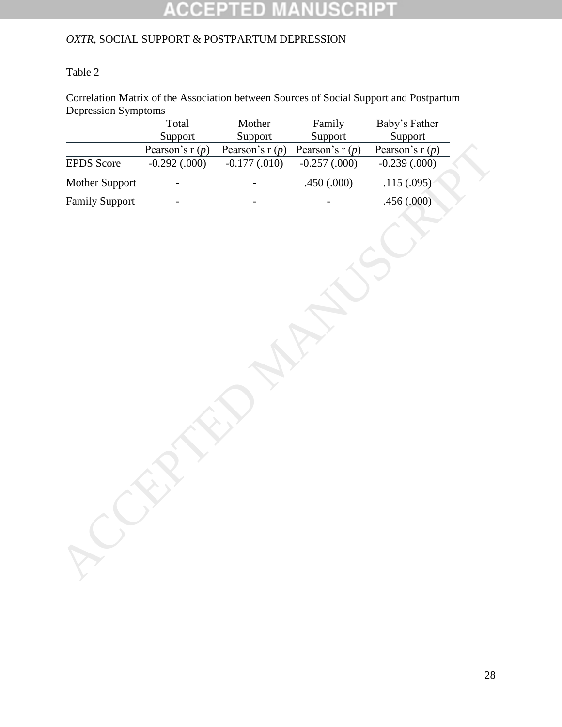#### SCRIP E 10 U,

## *OXTR*, SOCIAL SUPPORT & POSTPARTUM DEPRESSION

## Table 2

Correlation Matrix of the Association between Sources of Social Support and Postpartum Depression Symptoms

|                       | Total             | Mother            | Family            | Baby's Father     |
|-----------------------|-------------------|-------------------|-------------------|-------------------|
|                       | Support           | Support           | Support           | Support           |
|                       | Pearson's r $(p)$ | Pearson's r $(p)$ | Pearson's r $(p)$ | Pearson's r $(p)$ |
| <b>EPDS</b> Score     | $-0.292$ $(.000)$ | $-0.177(0.010)$   | $-0.257(0.000)$   | $-0.239(0.000)$   |
| Mother Support        |                   |                   | .450 (.000)       | .115(.095)        |
| <b>Family Support</b> |                   |                   |                   | .456 (.000)       |
|                       |                   |                   |                   |                   |
|                       |                   |                   |                   |                   |
|                       |                   |                   |                   |                   |
|                       |                   |                   |                   |                   |
|                       |                   |                   |                   |                   |
|                       |                   |                   |                   |                   |
|                       |                   |                   |                   |                   |
|                       |                   |                   |                   |                   |
|                       |                   |                   |                   |                   |
|                       |                   |                   |                   |                   |
|                       |                   |                   |                   |                   |
|                       |                   |                   |                   |                   |
|                       |                   |                   |                   |                   |
|                       |                   |                   |                   |                   |
|                       |                   |                   |                   |                   |
|                       |                   |                   |                   |                   |
|                       |                   |                   |                   |                   |
|                       |                   |                   |                   |                   |
|                       |                   |                   |                   |                   |
|                       |                   |                   |                   |                   |
|                       |                   |                   |                   |                   |